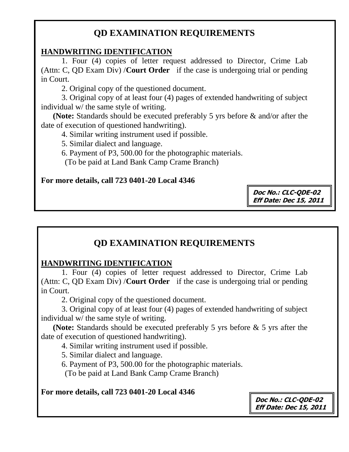#### **HANDWRITING IDENTIFICATION**

1. Four (4) copies of letter request addressed to Director, Crime Lab (Attn: C, QD Exam Div) /**Court Order** if the case is undergoing trial or pending in Court.

2. Original copy of the questioned document.

3. Original copy of at least four (4) pages of extended handwriting of subject individual w/ the same style of writing.

 **(Note:** Standards should be executed preferably 5 yrs before & and/or after the date of execution of questioned handwriting).

4. Similar writing instrument used if possible.

5. Similar dialect and language.

6. Payment of P3, 500.00 for the photographic materials.

(To be paid at Land Bank Camp Crame Branch)

#### **For more details, call 723 0401-20 Local 4346**

**Doc No.: CLC-QDE-02 Eff Date: Dec 15, 2011**

## **QD EXAMINATION REQUIREMENTS**

#### **HANDWRITING IDENTIFICATION**

1. Four (4) copies of letter request addressed to Director, Crime Lab (Attn: C, QD Exam Div) /**Court Order** if the case is undergoing trial or pending in Court.

2. Original copy of the questioned document.

3. Original copy of at least four (4) pages of extended handwriting of subject individual w/ the same style of writing.

 **(Note:** Standards should be executed preferably 5 yrs before & 5 yrs after the date of execution of questioned handwriting).

4. Similar writing instrument used if possible.

5. Similar dialect and language.

6. Payment of P3, 500.00 for the photographic materials.

(To be paid at Land Bank Camp Crame Branch)

**For more details, call 723 0401-20 Local 4346**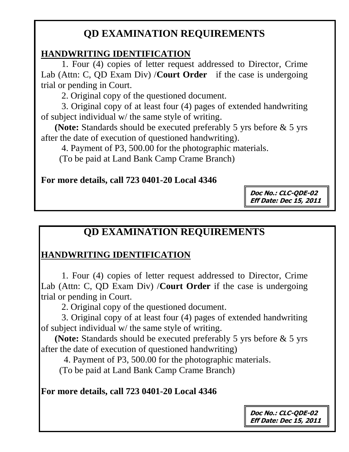### **HANDWRITING IDENTIFICATION**

1. Four (4) copies of letter request addressed to Director, Crime Lab (Attn: C, QD Exam Div) /**Court Order** if the case is undergoing trial or pending in Court.

2. Original copy of the questioned document.

3. Original copy of at least four (4) pages of extended handwriting of subject individual w/ the same style of writing.

 **(Note:** Standards should be executed preferably 5 yrs before & 5 yrs after the date of execution of questioned handwriting).

4. Payment of P3, 500.00 for the photographic materials.

(To be paid at Land Bank Camp Crame Branch)

### **For more details, call 723 0401-20 Local 4346**

**Doc No.: CLC-QDE-02 Eff Date: Dec 15, 2011**

# **QD EXAMINATION REQUIREMENTS**

### **HANDWRITING IDENTIFICATION**

1. Four (4) copies of letter request addressed to Director, Crime Lab (Attn: C, QD Exam Div) /**Court Order** if the case is undergoing trial or pending in Court.

2. Original copy of the questioned document.

3. Original copy of at least four (4) pages of extended handwriting of subject individual w/ the same style of writing.

 **(Note:** Standards should be executed preferably 5 yrs before & 5 yrs after the date of execution of questioned handwriting)

4. Payment of P3, 500.00 for the photographic materials.

(To be paid at Land Bank Camp Crame Branch)

**For more details, call 723 0401-20 Local 4346**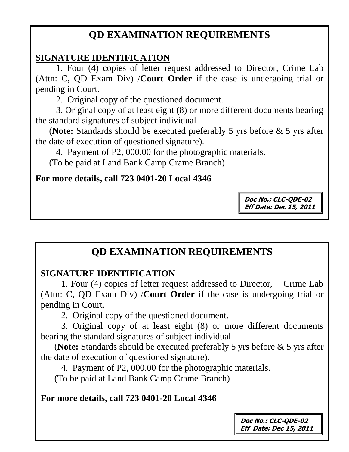### **SIGNATURE IDENTIFICATION**

 1. Four (4) copies of letter request addressed to Director, Crime Lab (Attn: C, QD Exam Div) /**Court Order** if the case is undergoing trial or pending in Court.

2. Original copy of the questioned document.

3. Original copy of at least eight (8) or more different documents bearing the standard signatures of subject individual

 (**Note:** Standards should be executed preferably 5 yrs before & 5 yrs after the date of execution of questioned signature).

4. Payment of P2, 000.00 for the photographic materials.

(To be paid at Land Bank Camp Crame Branch)

### **For more details, call 723 0401-20 Local 4346**

**Doc No.: CLC-QDE-02 Eff Date: Dec 15, 2011**

# **QD EXAMINATION REQUIREMENTS**

### **SIGNATURE IDENTIFICATION**

 1. Four (4) copies of letter request addressed to Director, Crime Lab (Attn: C, QD Exam Div) /**Court Order** if the case is undergoing trial or pending in Court.

2. Original copy of the questioned document.

3. Original copy of at least eight (8) or more different documents bearing the standard signatures of subject individual

 (**Note:** Standards should be executed preferably 5 yrs before & 5 yrs after the date of execution of questioned signature).

4. Payment of P2, 000.00 for the photographic materials.

(To be paid at Land Bank Camp Crame Branch)

### **For more details, call 723 0401-20 Local 4346**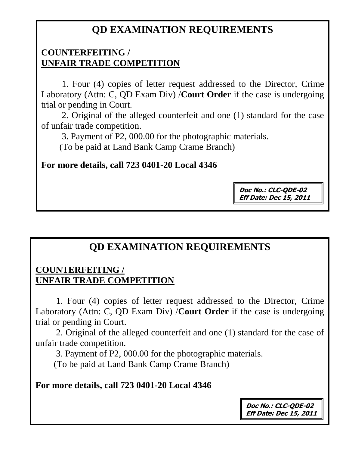#### **COUNTERFEITING / UNFAIR TRADE COMPETITION**

1. Four (4) copies of letter request addressed to the Director, Crime Laboratory (Attn: C, QD Exam Div) /**Court Order** if the case is undergoing trial or pending in Court.

2. Original of the alleged counterfeit and one (1) standard for the case of unfair trade competition.

3. Payment of P2, 000.00 for the photographic materials.

(To be paid at Land Bank Camp Crame Branch)

#### **For more details, call 723 0401-20 Local 4346**

**Doc No.: CLC-QDE-02 Eff Date: Dec 15, 2011**

# **QD EXAMINATION REQUIREMENTS**

### **COUNTERFEITING / UNFAIR TRADE COMPETITION**

1. Four (4) copies of letter request addressed to the Director, Crime Laboratory (Attn: C, QD Exam Div) /**Court Order** if the case is undergoing trial or pending in Court.

2. Original of the alleged counterfeit and one (1) standard for the case of unfair trade competition.

3. Payment of P2, 000.00 for the photographic materials.

(To be paid at Land Bank Camp Crame Branch)

#### **For more details, call 723 0401-20 Local 4346**